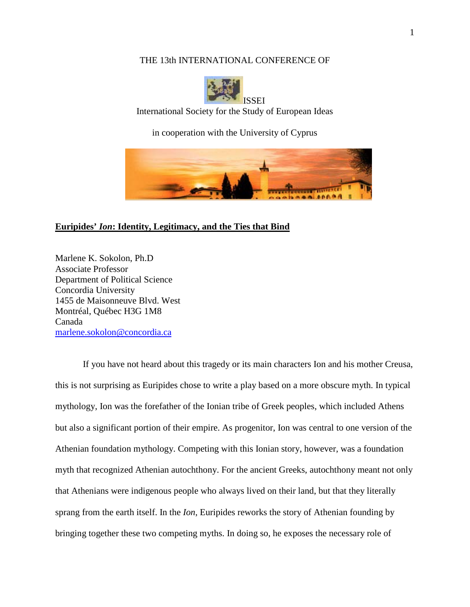# THE 13th INTERNATIONAL CONFERENCE OF



International Society for the Study of European Ideas

in cooperation with the University of Cyprus



## **Euripides'** *Ion***: Identity, Legitimacy, and the Ties that Bind**

Marlene K. Sokolon, Ph.D Associate Professor Department of Political Science Concordia University 1455 de Maisonneuve Blvd. West Montréal, Québec H3G 1M8 Canada [marlene.sokolon@concordia.ca](mailto:marlene.sokolon@concordia.ca)

If you have not heard about this tragedy or its main characters Ion and his mother Creusa, this is not surprising as Euripides chose to write a play based on a more obscure myth. In typical mythology, Ion was the forefather of the Ionian tribe of Greek peoples, which included Athens but also a significant portion of their empire. As progenitor, Ion was central to one version of the Athenian foundation mythology. Competing with this Ionian story, however, was a foundation myth that recognized Athenian autochthony. For the ancient Greeks, autochthony meant not only that Athenians were indigenous people who always lived on their land, but that they literally sprang from the earth itself. In the *Ion*, Euripides reworks the story of Athenian founding by bringing together these two competing myths. In doing so, he exposes the necessary role of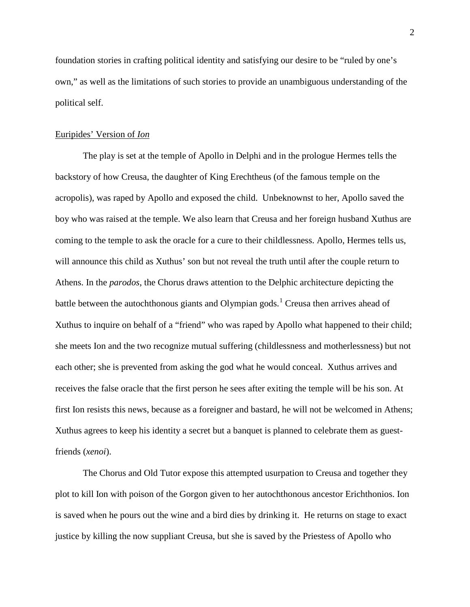foundation stories in crafting political identity and satisfying our desire to be "ruled by one's own," as well as the limitations of such stories to provide an unambiguous understanding of the political self.

### Euripides' Version of *Ion*

The play is set at the temple of Apollo in Delphi and in the prologue Hermes tells the backstory of how Creusa, the daughter of King Erechtheus (of the famous temple on the acropolis), was raped by Apollo and exposed the child. Unbeknownst to her, Apollo saved the boy who was raised at the temple. We also learn that Creusa and her foreign husband Xuthus are coming to the temple to ask the oracle for a cure to their childlessness. Apollo, Hermes tells us, will announce this child as Xuthus' son but not reveal the truth until after the couple return to Athens. In the *parodos*, the Chorus draws attention to the Delphic architecture depicting the battle between the autochthonous giants and Olympian gods.<sup>[1](#page-8-0)</sup> Creusa then arrives ahead of Xuthus to inquire on behalf of a "friend" who was raped by Apollo what happened to their child; she meets Ion and the two recognize mutual suffering (childlessness and motherlessness) but not each other; she is prevented from asking the god what he would conceal. Xuthus arrives and receives the false oracle that the first person he sees after exiting the temple will be his son. At first Ion resists this news, because as a foreigner and bastard, he will not be welcomed in Athens; Xuthus agrees to keep his identity a secret but a banquet is planned to celebrate them as guestfriends (*xenoi*).

The Chorus and Old Tutor expose this attempted usurpation to Creusa and together they plot to kill Ion with poison of the Gorgon given to her autochthonous ancestor Erichthonios. Ion is saved when he pours out the wine and a bird dies by drinking it. He returns on stage to exact justice by killing the now suppliant Creusa, but she is saved by the Priestess of Apollo who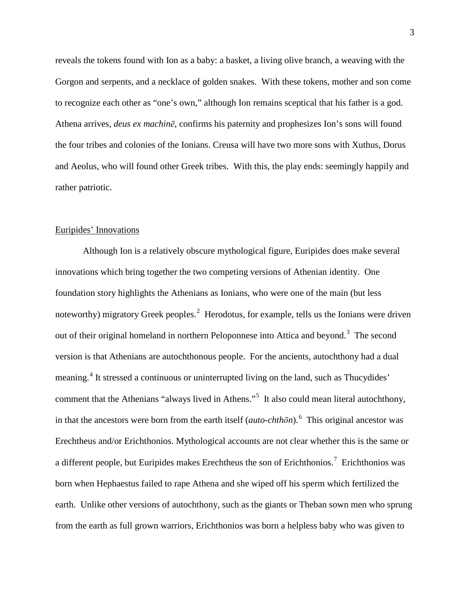reveals the tokens found with Ion as a baby: a basket, a living olive branch, a weaving with the Gorgon and serpents, and a necklace of golden snakes. With these tokens, mother and son come to recognize each other as "one's own," although Ion remains sceptical that his father is a god. Athena arrives, *deus ex machinē*, confirms his paternity and prophesizes Ion's sons will found the four tribes and colonies of the Ionians. Creusa will have two more sons with Xuthus, Dorus and Aeolus, who will found other Greek tribes. With this, the play ends: seemingly happily and rather patriotic.

#### Euripides' Innovations

Although Ion is a relatively obscure mythological figure, Euripides does make several innovations which bring together the two competing versions of Athenian identity. One foundation story highlights the Athenians as Ionians, who were one of the main (but less noteworthy) migratory Greek peoples.<sup>[2](#page-8-1)</sup> Herodotus, for example, tells us the Ionians were driven out of their original homeland in northern Peloponnese into Attica and beyond.<sup>[3](#page-8-2)</sup> The second version is that Athenians are autochthonous people. For the ancients, autochthony had a dual meaning.<sup>[4](#page-8-3)</sup> It stressed a continuous or uninterrupted living on the land, such as Thucydides' comment that the Athenians "always lived in Athens."<sup>[5](#page-8-4)</sup> It also could mean literal autochthony, in that the ancestors were born from the earth itself (*auto-chthōn*). [6](#page-8-5) This original ancestor was Erechtheus and/or Erichthonios. Mythological accounts are not clear whether this is the same or a different people, but Euripides makes Erechtheus the son of Erichthonios.<sup>[7](#page-8-6)</sup> Erichthonios was born when Hephaestus failed to rape Athena and she wiped off his sperm which fertilized the earth. Unlike other versions of autochthony, such as the giants or Theban sown men who sprung from the earth as full grown warriors, Erichthonios was born a helpless baby who was given to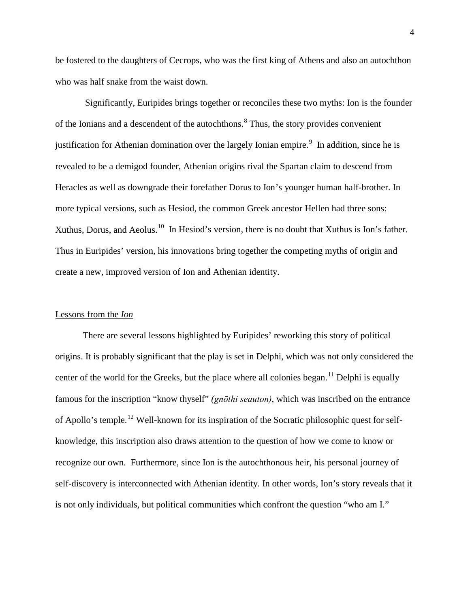be fostered to the daughters of Cecrops, who was the first king of Athens and also an autochthon who was half snake from the waist down.

Significantly, Euripides brings together or reconciles these two myths: Ion is the founder of the Ionians and a descendent of the autochthons.[8](#page-8-7) Thus, the story provides convenient justification for Athenian domination over the largely Ionian empire.<sup>[9](#page-9-0)</sup> In addition, since he is revealed to be a demigod founder, Athenian origins rival the Spartan claim to descend from Heracles as well as downgrade their forefather Dorus to Ion's younger human half-brother. In more typical versions, such as Hesiod, the common Greek ancestor Hellen had three sons: Xuthus, Dorus, and Aeolus.<sup>[10](#page-9-1)</sup> In Hesiod's version, there is no doubt that Xuthus is Ion's father. Thus in Euripides' version, his innovations bring together the competing myths of origin and create a new, improved version of Ion and Athenian identity.

#### Lessons from the *Ion*

There are several lessons highlighted by Euripides' reworking this story of political origins. It is probably significant that the play is set in Delphi, which was not only considered the center of the world for the Greeks, but the place where all colonies began.<sup>[11](#page-9-2)</sup> Delphi is equally famous for the inscription "know thyself" *(gnōthi seauton)*, which was inscribed on the entrance of Apollo's temple.<sup>[12](#page-9-3)</sup> Well-known for its inspiration of the Socratic philosophic quest for selfknowledge, this inscription also draws attention to the question of how we come to know or recognize our own. Furthermore, since Ion is the autochthonous heir, his personal journey of self-discovery is interconnected with Athenian identity. In other words, Ion's story reveals that it is not only individuals, but political communities which confront the question "who am I."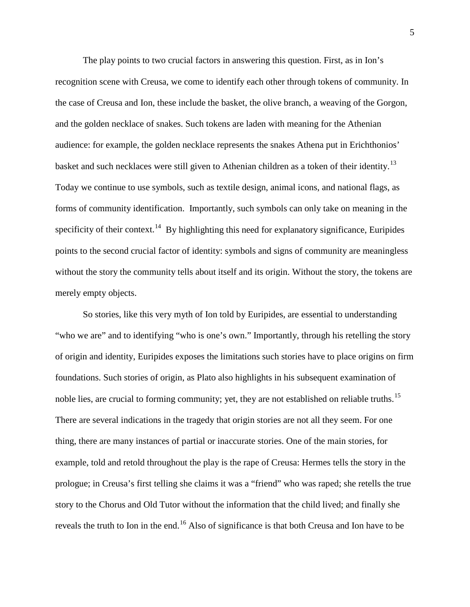The play points to two crucial factors in answering this question. First, as in Ion's recognition scene with Creusa, we come to identify each other through tokens of community. In the case of Creusa and Ion, these include the basket, the olive branch, a weaving of the Gorgon, and the golden necklace of snakes. Such tokens are laden with meaning for the Athenian audience: for example, the golden necklace represents the snakes Athena put in Erichthonios' basket and such necklaces were still given to Athenian children as a token of their identity.<sup>[13](#page-9-4)</sup> Today we continue to use symbols, such as textile design, animal icons, and national flags, as forms of community identification. Importantly, such symbols can only take on meaning in the specificity of their context.<sup>[14](#page-9-5)</sup> By highlighting this need for explanatory significance, Euripides points to the second crucial factor of identity: symbols and signs of community are meaningless without the story the community tells about itself and its origin. Without the story, the tokens are merely empty objects.

So stories, like this very myth of Ion told by Euripides, are essential to understanding "who we are" and to identifying "who is one's own." Importantly, through his retelling the story of origin and identity, Euripides exposes the limitations such stories have to place origins on firm foundations. Such stories of origin, as Plato also highlights in his subsequent examination of noble lies, are crucial to forming community; yet, they are not established on reliable truths.<sup>[15](#page-9-6)</sup> There are several indications in the tragedy that origin stories are not all they seem. For one thing, there are many instances of partial or inaccurate stories. One of the main stories, for example, told and retold throughout the play is the rape of Creusa: Hermes tells the story in the prologue; in Creusa's first telling she claims it was a "friend" who was raped; she retells the true story to the Chorus and Old Tutor without the information that the child lived; and finally she reveals the truth to Ion in the end.<sup>[16](#page-10-0)</sup> Also of significance is that both Creusa and Ion have to be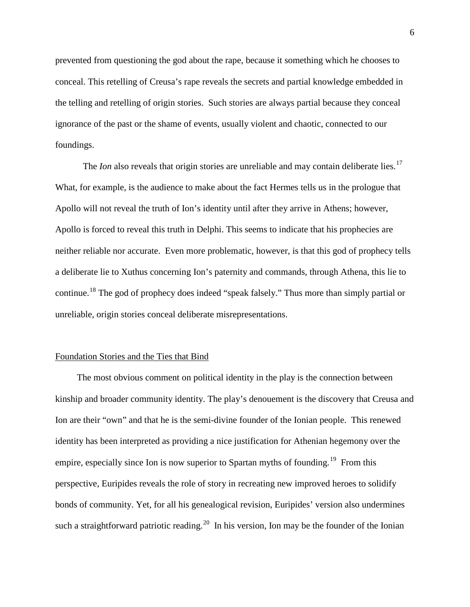prevented from questioning the god about the rape, because it something which he chooses to conceal. This retelling of Creusa's rape reveals the secrets and partial knowledge embedded in the telling and retelling of origin stories. Such stories are always partial because they conceal ignorance of the past or the shame of events, usually violent and chaotic, connected to our foundings.

The *Ion* also reveals that origin stories are unreliable and may contain deliberate lies.<sup>[17](#page-10-1)</sup> What, for example, is the audience to make about the fact Hermes tells us in the prologue that Apollo will not reveal the truth of Ion's identity until after they arrive in Athens; however, Apollo is forced to reveal this truth in Delphi. This seems to indicate that his prophecies are neither reliable nor accurate. Even more problematic, however, is that this god of prophecy tells a deliberate lie to Xuthus concerning Ion's paternity and commands, through Athena, this lie to continue.[18](#page-10-2) The god of prophecy does indeed "speak falsely." Thus more than simply partial or unreliable, origin stories conceal deliberate misrepresentations.

### Foundation Stories and the Ties that Bind

The most obvious comment on political identity in the play is the connection between kinship and broader community identity. The play's denouement is the discovery that Creusa and Ion are their "own" and that he is the semi-divine founder of the Ionian people. This renewed identity has been interpreted as providing a nice justification for Athenian hegemony over the empire, especially since Ion is now superior to Spartan myths of founding.<sup>[19](#page-10-3)</sup> From this perspective, Euripides reveals the role of story in recreating new improved heroes to solidify bonds of community. Yet, for all his genealogical revision, Euripides' version also undermines such a straightforward patriotic reading.<sup>[20](#page-10-4)</sup> In his version, Ion may be the founder of the Ionian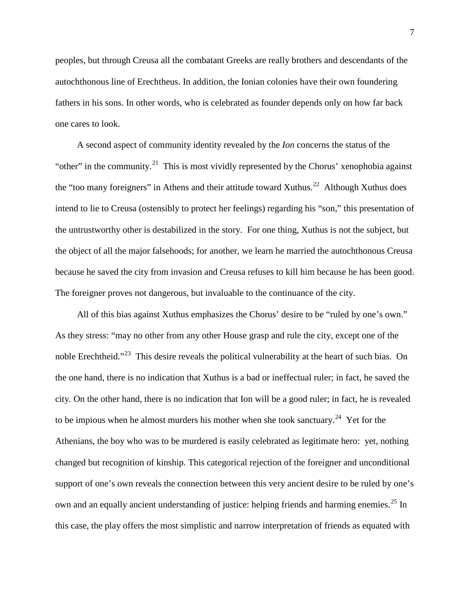peoples, but through Creusa all the combatant Greeks are really brothers and descendants of the autochthonous line of Erechtheus. In addition, the Ionian colonies have their own foundering fathers in his sons. In other words, who is celebrated as founder depends only on how far back one cares to look.

A second aspect of community identity revealed by the *Ion* concerns the status of the "other" in the community.<sup>21</sup> This is most vividly represented by the Chorus' xenophobia against the "too many foreigners" in Athens and their attitude toward Xuthus.<sup>[22](#page-10-6)</sup> Although Xuthus does intend to lie to Creusa (ostensibly to protect her feelings) regarding his "son," this presentation of the untrustworthy other is destabilized in the story. For one thing, Xuthus is not the subject, but the object of all the major falsehoods; for another, we learn he married the autochthonous Creusa because he saved the city from invasion and Creusa refuses to kill him because he has been good. The foreigner proves not dangerous, but invaluable to the continuance of the city.

All of this bias against Xuthus emphasizes the Chorus' desire to be "ruled by one's own." As they stress: "may no other from any other House grasp and rule the city, except one of the noble Erechtheid."<sup>23</sup> This desire reveals the political vulnerability at the heart of such bias. On the one hand, there is no indication that Xuthus is a bad or ineffectual ruler; in fact, he saved the city. On the other hand, there is no indication that Ion will be a good ruler; in fact, he is revealed to be impious when he almost murders his mother when she took sanctuary.<sup>24</sup> Yet for the Athenians, the boy who was to be murdered is easily celebrated as legitimate hero: yet, nothing changed but recognition of kinship. This categorical rejection of the foreigner and unconditional support of one's own reveals the connection between this very ancient desire to be ruled by one's own and an equally ancient understanding of justice: helping friends and harming enemies.<sup>[25](#page-10-9)</sup> In this case, the play offers the most simplistic and narrow interpretation of friends as equated with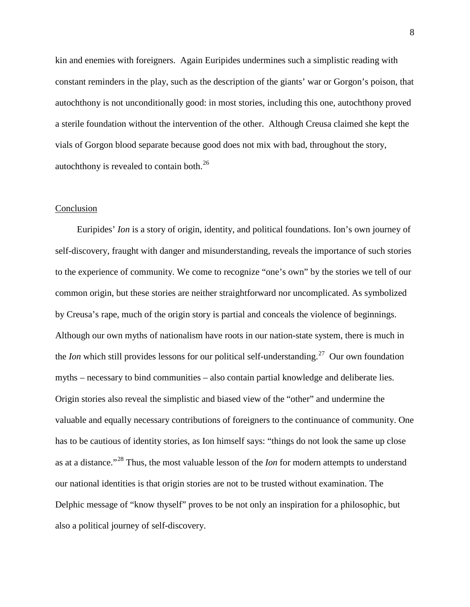kin and enemies with foreigners. Again Euripides undermines such a simplistic reading with constant reminders in the play, such as the description of the giants' war or Gorgon's poison, that autochthony is not unconditionally good: in most stories, including this one, autochthony proved a sterile foundation without the intervention of the other. Although Creusa claimed she kept the vials of Gorgon blood separate because good does not mix with bad, throughout the story, autochthony is revealed to contain both. $^{26}$  $^{26}$  $^{26}$ 

#### **Conclusion**

Euripides' *Ion* is a story of origin, identity, and political foundations. Ion's own journey of self-discovery, fraught with danger and misunderstanding, reveals the importance of such stories to the experience of community. We come to recognize "one's own" by the stories we tell of our common origin, but these stories are neither straightforward nor uncomplicated. As symbolized by Creusa's rape, much of the origin story is partial and conceals the violence of beginnings. Although our own myths of nationalism have roots in our nation-state system, there is much in the *Ion* which still provides lessons for our political self-understanding. [27](#page-10-11) Our own foundation myths – necessary to bind communities – also contain partial knowledge and deliberate lies. Origin stories also reveal the simplistic and biased view of the "other" and undermine the valuable and equally necessary contributions of foreigners to the continuance of community. One has to be cautious of identity stories, as Ion himself says: "things do not look the same up close as at a distance."[28](#page-10-12) Thus, the most valuable lesson of the *Ion* for modern attempts to understand our national identities is that origin stories are not to be trusted without examination. The Delphic message of "know thyself" proves to be not only an inspiration for a philosophic, but also a political journey of self-discovery.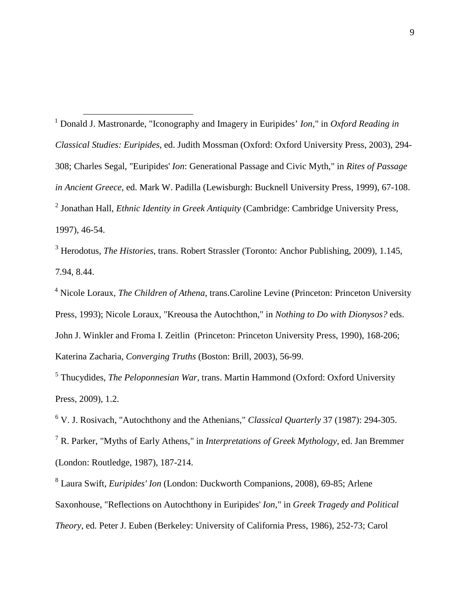<span id="page-8-0"></span> 1 Donald J. Mastronarde, "Iconography and Imagery in Euripides' *Ion*," in *Oxford Reading in Classical Studies: Euripides*, ed. Judith Mossman (Oxford: Oxford University Press, 2003), 294- 308; Charles Segal, "Euripides' *Ion*: Generational Passage and Civic Myth," in *Rites of Passage in Ancient Greece*, ed. Mark W. Padilla (Lewisburgh: Bucknell University Press, 1999), 67-108. <sup>2</sup> Jonathan Hall, *Ethnic Identity in Greek Antiquity* (Cambridge: Cambridge University Press, 1997), 46-54.

<span id="page-8-2"></span><span id="page-8-1"></span><sup>3</sup> Herodotus, *The Histories*, trans. Robert Strassler (Toronto: Anchor Publishing, 2009), 1.145, 7.94, 8.44.

<span id="page-8-3"></span><sup>4</sup> Nicole Loraux, *The Children of Athena*, trans.Caroline Levine (Princeton: Princeton University Press, 1993); Nicole Loraux, "Kreousa the Autochthon," in *Nothing to Do with Dionysos?* eds. John J. Winkler and Froma I. Zeitlin (Princeton: Princeton University Press, 1990), 168-206; Katerina Zacharia, *Converging Truths* (Boston: Brill, 2003), 56-99.

<span id="page-8-4"></span><sup>5</sup> Thucydides, *The Peloponnesian War*, trans. Martin Hammond (Oxford: Oxford University Press, 2009), 1.2.

<span id="page-8-5"></span><sup>6</sup> V. J. Rosivach, "Autochthony and the Athenians," *Classical Quarterly* 37 (1987): 294-305.

<span id="page-8-6"></span><sup>7</sup> R. Parker, "Myths of Early Athens," in *Interpretations of Greek Mythology*, ed. Jan Bremmer (London: Routledge, 1987), 187-214.

<span id="page-8-7"></span><sup>8</sup> Laura Swift, *Euripides' Ion* (London: Duckworth Companions, 2008), 69-85; Arlene Saxonhouse, "Reflections on Autochthony in Euripides' *Ion,*" in *Greek Tragedy and Political Theory*, ed. Peter J. Euben (Berkeley: University of California Press, 1986), 252-73; Carol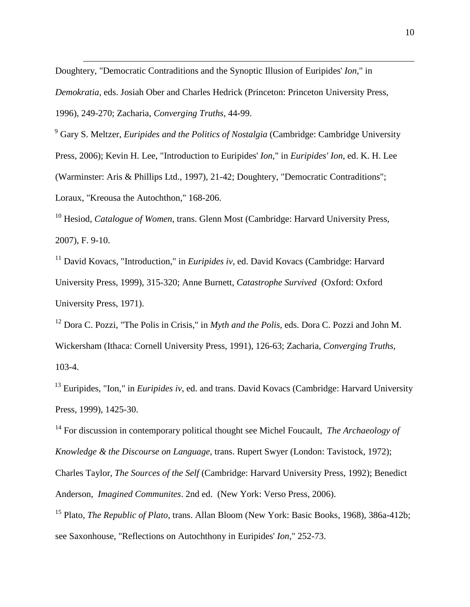Doughtery, "Democratic Contraditions and the Synoptic Illusion of Euripides' *Ion*," in *Demokratia*, eds. Josiah Ober and Charles Hedrick (Princeton: Princeton University Press, 1996), 249-270; Zacharia, *Converging Truths*, 44-99.

 $\overline{a}$ 

<span id="page-9-0"></span><sup>9</sup> Gary S. Meltzer, *Euripides and the Politics of Nostalgia* (Cambridge: Cambridge University Press, 2006); Kevin H. Lee, "Introduction to Euripides' *Ion*," in *Euripides' Ion*, ed. K. H. Lee (Warminster: Aris & Phillips Ltd., 1997), 21-42; Doughtery, "Democratic Contraditions"; Loraux, "Kreousa the Autochthon," 168-206.

<span id="page-9-1"></span><sup>10</sup> Hesiod, *Catalogue of Women*, trans. Glenn Most (Cambridge: Harvard University Press, 2007), F. 9-10.

<span id="page-9-2"></span><sup>11</sup> David Kovacs, "Introduction," in *Euripides iv*, ed. David Kovacs (Cambridge: Harvard University Press, 1999), 315-320; Anne Burnett, *Catastrophe Survived* (Oxford: Oxford University Press, 1971).

<span id="page-9-3"></span><sup>12</sup> Dora C. Pozzi, "The Polis in Crisis," in *Myth and the Polis*, eds. Dora C. Pozzi and John M. Wickersham (Ithaca: Cornell University Press, 1991), 126-63; Zacharia, *Converging Truths*, 103-4.

<span id="page-9-4"></span><sup>13</sup> Euripides, "Ion," in *Euripides iv*, ed. and trans. David Kovacs (Cambridge: Harvard University Press, 1999), 1425-30.

<span id="page-9-5"></span><sup>14</sup> For discussion in contemporary political thought see Michel Foucault, *The Archaeology of Knowledge & the Discourse on Language*, trans. Rupert Swyer (London: Tavistock, 1972);

Charles Taylor, *The Sources of the Self* (Cambridge: Harvard University Press, 1992); Benedict Anderson, *Imagined Communites*. 2nd ed. (New York: Verso Press, 2006).

<span id="page-9-6"></span><sup>15</sup> Plato, *The Republic of Plato*, trans. Allan Bloom (New York: Basic Books, 1968), 386a-412b; see Saxonhouse, "Reflections on Autochthony in Euripides' *Ion,*" 252-73.